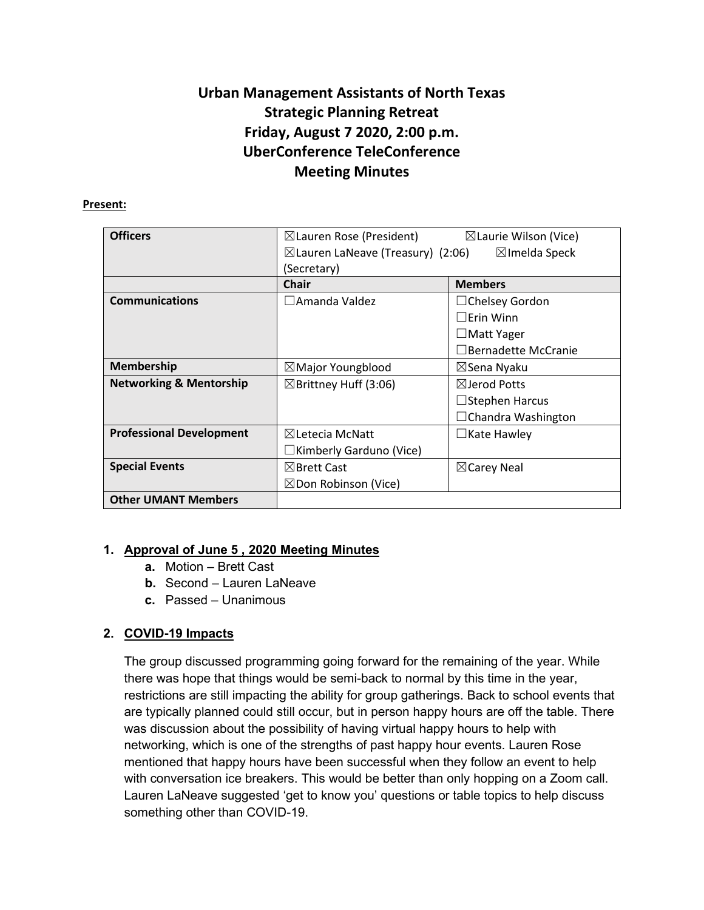# **Urban Management Assistants of North Texas Strategic Planning Retreat Friday, August 7 2020, 2:00 p.m. UberConference TeleConference Meeting Minutes**

#### **Present:**

| <b>Officers</b>                    | $\boxtimes$ Lauren Rose (President)          | $\boxtimes$ Laurie Wilson (Vice) |
|------------------------------------|----------------------------------------------|----------------------------------|
|                                    | $\boxtimes$ Lauren LaNeave (Treasury) (2:06) | $\boxtimes$ Imelda Speck         |
|                                    | (Secretary)                                  |                                  |
|                                    | <b>Chair</b>                                 | <b>Members</b>                   |
| <b>Communications</b>              | $\square$ Amanda Valdez                      | $\Box$ Chelsey Gordon            |
|                                    |                                              | $\Box$ Erin Winn                 |
|                                    |                                              | $\Box$ Matt Yager                |
|                                    |                                              | $\Box$ Bernadette McCranie       |
| <b>Membership</b>                  | $\boxtimes$ Major Youngblood                 | ⊠Sena Nyaku                      |
| <b>Networking &amp; Mentorship</b> | $\boxtimes$ Brittney Huff (3:06)             | $\boxtimes$ lerod Potts          |
|                                    |                                              | $\Box$ Stephen Harcus            |
|                                    |                                              | $\Box$ Chandra Washington        |
| <b>Professional Development</b>    | $\boxtimes$ Letecia McNatt                   | $\Box$ Kate Hawley               |
|                                    | $\Box$ Kimberly Garduno (Vice)               |                                  |
| <b>Special Events</b>              | $\boxtimes$ Brett Cast                       | $\boxtimes$ Carey Neal           |
|                                    | $\boxtimes$ Don Robinson (Vice)              |                                  |
| <b>Other UMANT Members</b>         |                                              |                                  |

# **1. Approval of June 5 , 2020 Meeting Minutes**

- **a.** Motion Brett Cast
- **b.** Second Lauren LaNeave
- **c.** Passed Unanimous

# **2. COVID-19 Impacts**

The group discussed programming going forward for the remaining of the year. While there was hope that things would be semi-back to normal by this time in the year, restrictions are still impacting the ability for group gatherings. Back to school events that are typically planned could still occur, but in person happy hours are off the table. There was discussion about the possibility of having virtual happy hours to help with networking, which is one of the strengths of past happy hour events. Lauren Rose mentioned that happy hours have been successful when they follow an event to help with conversation ice breakers. This would be better than only hopping on a Zoom call. Lauren LaNeave suggested 'get to know you' questions or table topics to help discuss something other than COVID-19.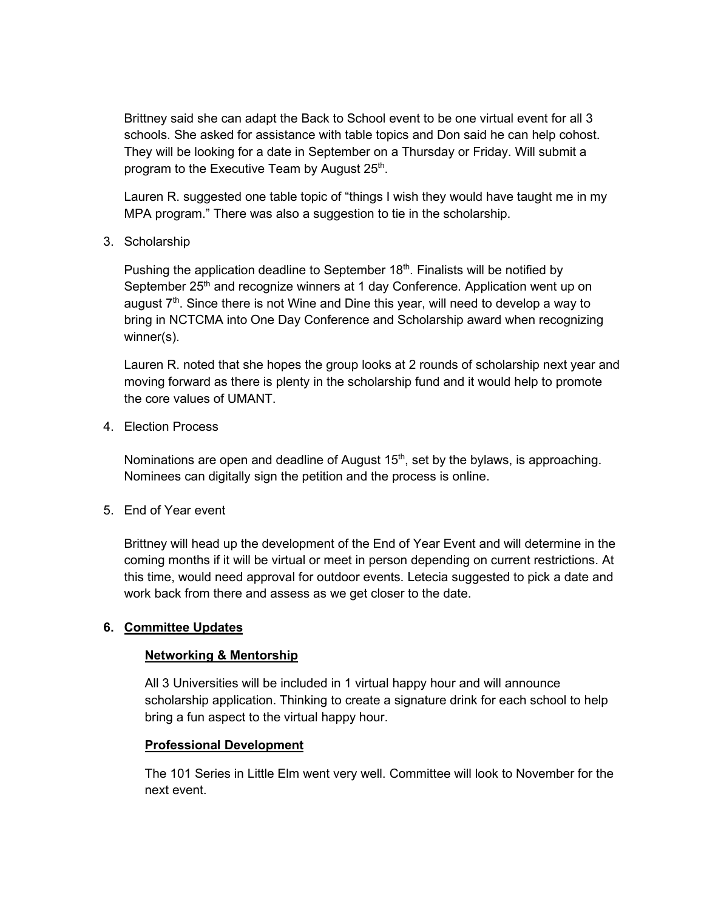Brittney said she can adapt the Back to School event to be one virtual event for all 3 schools. She asked for assistance with table topics and Don said he can help cohost. They will be looking for a date in September on a Thursday or Friday. Will submit a program to the Executive Team by August  $25<sup>th</sup>$ .

Lauren R. suggested one table topic of "things I wish they would have taught me in my MPA program." There was also a suggestion to tie in the scholarship.

3. Scholarship

Pushing the application deadline to September  $18<sup>th</sup>$ . Finalists will be notified by September 25<sup>th</sup> and recognize winners at 1 day Conference. Application went up on august  $7<sup>th</sup>$ . Since there is not Wine and Dine this year, will need to develop a way to bring in NCTCMA into One Day Conference and Scholarship award when recognizing winner(s).

Lauren R. noted that she hopes the group looks at 2 rounds of scholarship next year and moving forward as there is plenty in the scholarship fund and it would help to promote the core values of UMANT.

4. Election Process

Nominations are open and deadline of August  $15<sup>th</sup>$ , set by the bylaws, is approaching. Nominees can digitally sign the petition and the process is online.

5. End of Year event

Brittney will head up the development of the End of Year Event and will determine in the coming months if it will be virtual or meet in person depending on current restrictions. At this time, would need approval for outdoor events. Letecia suggested to pick a date and work back from there and assess as we get closer to the date.

# **6. Committee Updates**

#### **Networking & Mentorship**

All 3 Universities will be included in 1 virtual happy hour and will announce scholarship application. Thinking to create a signature drink for each school to help bring a fun aspect to the virtual happy hour.

# **Professional Development**

The 101 Series in Little Elm went very well. Committee will look to November for the next event.